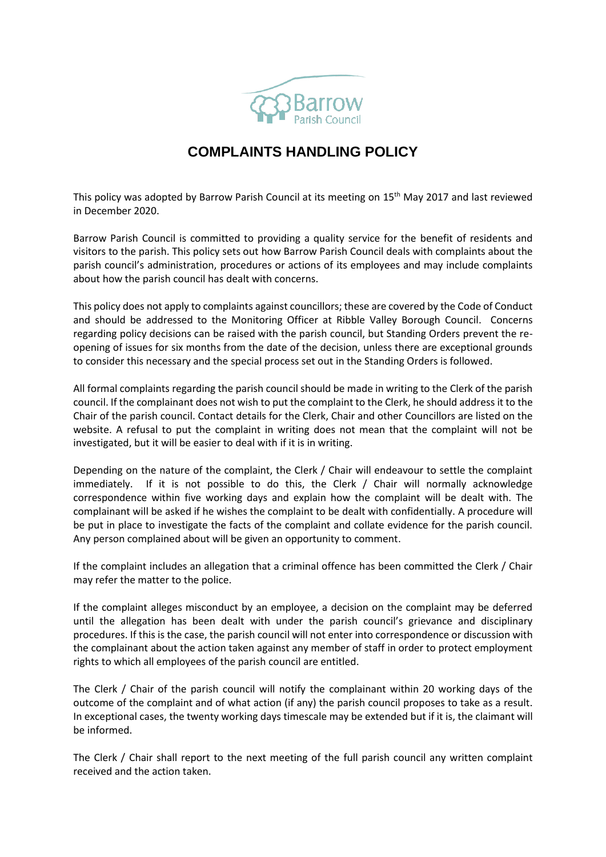

## **COMPLAINTS HANDLING POLICY**

This policy was adopted by Barrow Parish Council at its meeting on 15<sup>th</sup> May 2017 and last reviewed in December 2020.

Barrow Parish Council is committed to providing a quality service for the benefit of residents and visitors to the parish. This policy sets out how Barrow Parish Council deals with complaints about the parish council's administration, procedures or actions of its employees and may include complaints about how the parish council has dealt with concerns.

This policy does not apply to complaints against councillors; these are covered by the Code of Conduct and should be addressed to the Monitoring Officer at Ribble Valley Borough Council. Concerns regarding policy decisions can be raised with the parish council, but Standing Orders prevent the reopening of issues for six months from the date of the decision, unless there are exceptional grounds to consider this necessary and the special process set out in the Standing Orders is followed.

All formal complaints regarding the parish council should be made in writing to the Clerk of the parish council. If the complainant does not wish to put the complaint to the Clerk, he should address it to the Chair of the parish council. Contact details for the Clerk, Chair and other Councillors are listed on the website. A refusal to put the complaint in writing does not mean that the complaint will not be investigated, but it will be easier to deal with if it is in writing.

Depending on the nature of the complaint, the Clerk / Chair will endeavour to settle the complaint immediately. If it is not possible to do this, the Clerk / Chair will normally acknowledge correspondence within five working days and explain how the complaint will be dealt with. The complainant will be asked if he wishes the complaint to be dealt with confidentially. A procedure will be put in place to investigate the facts of the complaint and collate evidence for the parish council. Any person complained about will be given an opportunity to comment.

If the complaint includes an allegation that a criminal offence has been committed the Clerk / Chair may refer the matter to the police.

If the complaint alleges misconduct by an employee, a decision on the complaint may be deferred until the allegation has been dealt with under the parish council's grievance and disciplinary procedures. If this is the case, the parish council will not enter into correspondence or discussion with the complainant about the action taken against any member of staff in order to protect employment rights to which all employees of the parish council are entitled.

The Clerk / Chair of the parish council will notify the complainant within 20 working days of the outcome of the complaint and of what action (if any) the parish council proposes to take as a result. In exceptional cases, the twenty working days timescale may be extended but if it is, the claimant will be informed.

The Clerk / Chair shall report to the next meeting of the full parish council any written complaint received and the action taken.